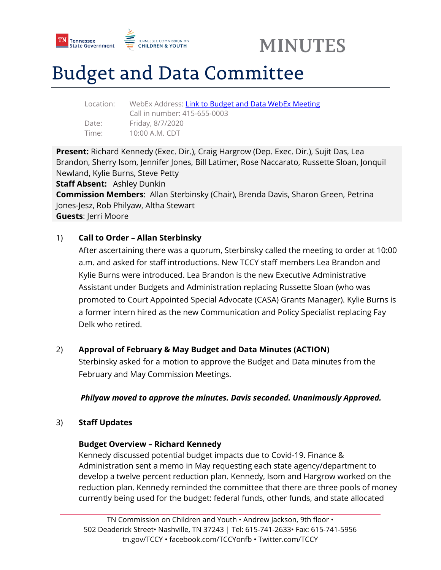



# Budget and Data Committee

Location: WebEx Address[: Link to Budget and Data WebEx Meeting](https://tngov.webex.com/tngov/j.php?MTID=ma0caa1d51e128cb43cc5a41ed5fda326)  Call in number: 415-655-0003 Date: Friday, 8/7/2020 Time: 10:00 A.M. CDT

**Present:** Richard Kennedy (Exec. Dir.), Craig Hargrow (Dep. Exec. Dir.), Sujit Das, Lea Brandon, Sherry Isom, Jennifer Jones, Bill Latimer, Rose Naccarato, Russette Sloan, Jonquil Newland, Kylie Burns, Steve Petty

**Staff Absent:** Ashley Dunkin

**Commission Members**: Allan Sterbinsky (Chair), Brenda Davis, Sharon Green, Petrina Jones-Jesz, Rob Philyaw, Altha Stewart

**Guests**: Jerri Moore

## 1) **Call to Order – Allan Sterbinsky**

After ascertaining there was a quorum, Sterbinsky called the meeting to order at 10:00 a.m. and asked for staff introductions. New TCCY staff members Lea Brandon and Kylie Burns were introduced. Lea Brandon is the new Executive Administrative Assistant under Budgets and Administration replacing Russette Sloan (who was promoted to Court Appointed Special Advocate (CASA) Grants Manager). Kylie Burns is a former intern hired as the new Communication and Policy Specialist replacing Fay Delk who retired.

## 2) **Approval of February & May Budget and Data Minutes (ACTION)**

Sterbinsky asked for a motion to approve the Budget and Data minutes from the February and May Commission Meetings.

### *Philyaw moved to approve the minutes. Davis seconded. Unanimously Approved.*

### 3) **Staff Updates**

### **Budget Overview – Richard Kennedy**

Kennedy discussed potential budget impacts due to Covid-19. Finance & Administration sent a memo in May requesting each state agency/department to develop a twelve percent reduction plan. Kennedy, Isom and Hargrow worked on the reduction plan. Kennedy reminded the committee that there are three pools of money currently being used for the budget: federal funds, other funds, and state allocated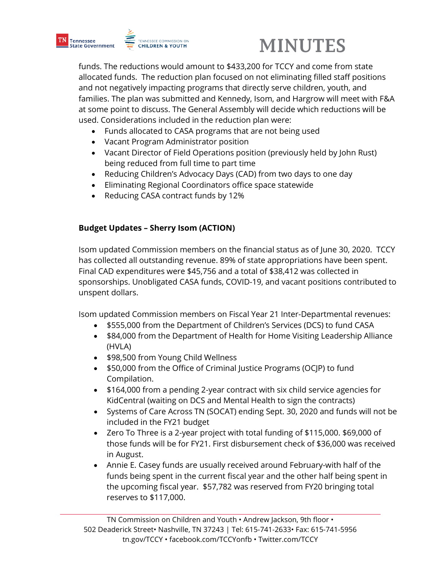



funds. The reductions would amount to \$433,200 for TCCY and come from state allocated funds. The reduction plan focused on not eliminating filled staff positions and not negatively impacting programs that directly serve children, youth, and families. The plan was submitted and Kennedy, Isom, and Hargrow will meet with F&A at some point to discuss. The General Assembly will decide which reductions will be used. Considerations included in the reduction plan were:

- Funds allocated to CASA programs that are not being used
- Vacant Program Administrator position
- Vacant Director of Field Operations position (previously held by John Rust) being reduced from full time to part time
- Reducing Children's Advocacy Days (CAD) from two days to one day
- Eliminating Regional Coordinators office space statewide
- Reducing CASA contract funds by 12%

## **Budget Updates – Sherry Isom (ACTION)**

Isom updated Commission members on the financial status as of June 30, 2020. TCCY has collected all outstanding revenue. 89% of state appropriations have been spent. Final CAD expenditures were \$45,756 and a total of \$38,412 was collected in sponsorships. Unobligated CASA funds, COVID-19, and vacant positions contributed to unspent dollars.

Isom updated Commission members on Fiscal Year 21 Inter-Departmental revenues:

- \$555,000 from the Department of Children's Services (DCS) to fund CASA
- \$84,000 from the Department of Health for Home Visiting Leadership Alliance (HVLA)
- \$98,500 from Young Child Wellness
- \$50,000 from the Office of Criminal Justice Programs (OCJP) to fund Compilation.
- \$164,000 from a pending 2-year contract with six child service agencies for KidCentral (waiting on DCS and Mental Health to sign the contracts)
- Systems of Care Across TN (SOCAT) ending Sept. 30, 2020 and funds will not be included in the FY21 budget
- Zero To Three is a 2-year project with total funding of \$115,000. \$69,000 of those funds will be for FY21. First disbursement check of \$36,000 was received in August.
- Annie E. Casey funds are usually received around February-with half of the funds being spent in the current fiscal year and the other half being spent in the upcoming fiscal year. \$57,782 was reserved from FY20 bringing total reserves to \$117,000.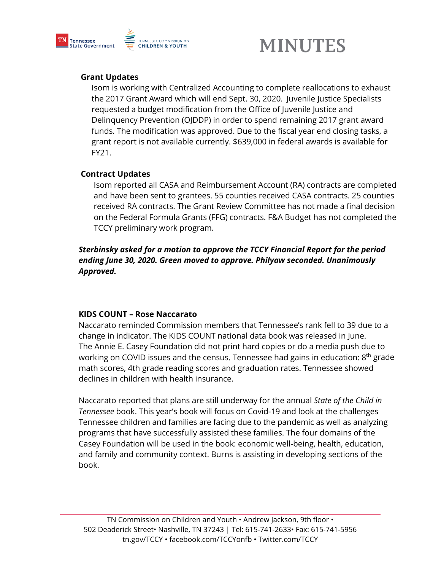

# **MINUTES**

## **Grant Updates**

Isom is working with Centralized Accounting to complete reallocations to exhaust the 2017 Grant Award which will end Sept. 30, 2020. Juvenile Justice Specialists requested a budget modification from the Office of Juvenile Justice and Delinquency Prevention (OJDDP) in order to spend remaining 2017 grant award funds. The modification was approved. Due to the fiscal year end closing tasks, a grant report is not available currently. \$639,000 in federal awards is available for FY21.

### **Contract Updates**

Isom reported all CASA and Reimbursement Account (RA) contracts are completed and have been sent to grantees. 55 counties received CASA contracts. 25 counties received RA contracts. The Grant Review Committee has not made a final decision on the Federal Formula Grants (FFG) contracts. F&A Budget has not completed the TCCY preliminary work program.

*Sterbinsky asked for a motion to approve the TCCY Financial Report for the period ending June 30, 2020. Green moved to approve. Philyaw seconded. Unanimously Approved.*

### **KIDS COUNT – Rose Naccarato**

Naccarato reminded Commission members that Tennessee's rank fell to 39 due to a change in indicator. The KIDS COUNT national data book was released in June. The Annie E. Casey Foundation did not print hard copies or do a media push due to working on COVID issues and the census. Tennessee had gains in education: 8<sup>th</sup> grade math scores, 4th grade reading scores and graduation rates. Tennessee showed declines in children with health insurance.

Naccarato reported that plans are still underway for the annual *State of the Child in Tennessee* book. This year's book will focus on Covid-19 and look at the challenges Tennessee children and families are facing due to the pandemic as well as analyzing programs that have successfully assisted these families. The four domains of the Casey Foundation will be used in the book: economic well-being, health, education, and family and community context. Burns is assisting in developing sections of the book.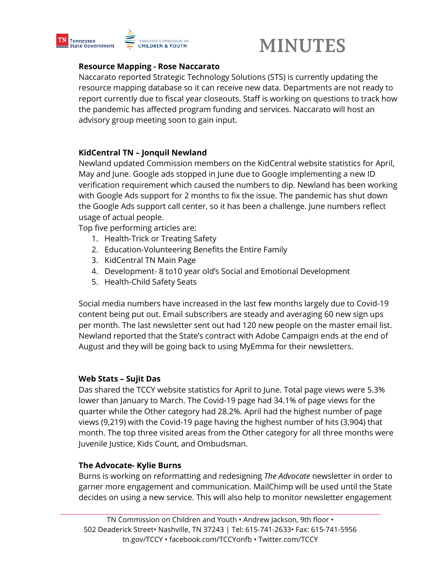

# **MINUTES**

#### **Resource Mapping - Rose Naccarato**

Naccarato reported Strategic Technology Solutions (STS) is currently updating the resource mapping database so it can receive new data. Departments are not ready to report currently due to fiscal year closeouts. Staff is working on questions to track how the pandemic has affected program funding and services. Naccarato will host an advisory group meeting soon to gain input.

### **KidCentral TN – Jonquil Newland**

Newland updated Commission members on the KidCentral website statistics for April, May and June. Google ads stopped in June due to Google implementing a new ID verification requirement which caused the numbers to dip. Newland has been working with Google Ads support for 2 months to fix the issue. The pandemic has shut down the Google Ads support call center, so it has been a challenge. June numbers reflect usage of actual people.

Top five performing articles are:

- 1. Health-Trick or Treating Safety
- 2. Education-Volunteering Benefits the Entire Family
- 3. KidCentral TN Main Page
- 4. Development- 8 to10 year old's Social and Emotional Development
- 5. Health-Child Safety Seats

Social media numbers have increased in the last few months largely due to Covid-19 content being put out. Email subscribers are steady and averaging 60 new sign ups per month. The last newsletter sent out had 120 new people on the master email list. Newland reported that the State's contract with Adobe Campaign ends at the end of August and they will be going back to using MyEmma for their newsletters.

#### **Web Stats – Sujit Das**

Das shared the TCCY website statistics for April to June. Total page views were 5.3% lower than January to March. The Covid-19 page had 34.1% of page views for the quarter while the Other category had 28.2%. April had the highest number of page views (9,219) with the Covid-19 page having the highest number of hits (3,904) that month. The top three visited areas from the Other category for all three months were Juvenile Justice, Kids Count, and Ombudsman.

#### **The Advocate- Kylie Burns**

Burns is working on reformatting and redesigning *The Advocate* newsletter in order to garner more engagement and communication. MailChimp will be used until the State decides on using a new service. This will also help to monitor newsletter engagement